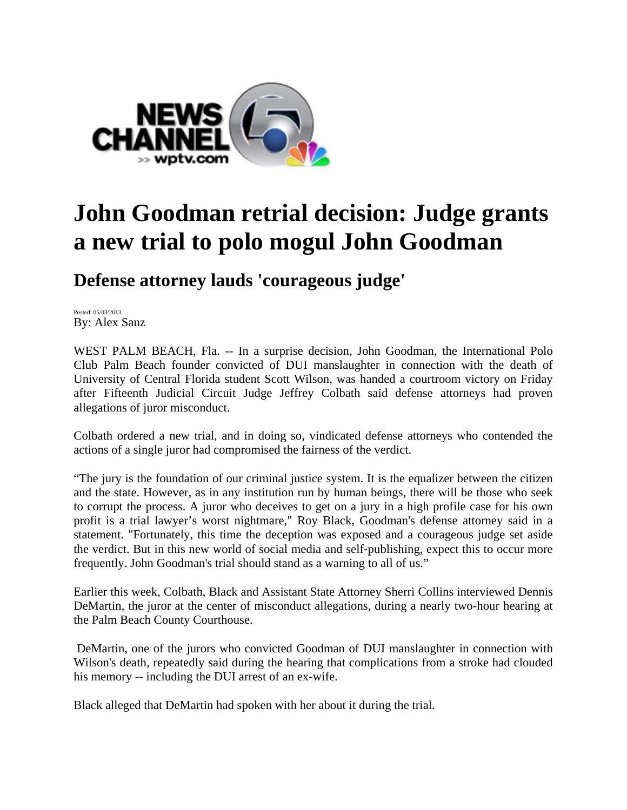

## **John Goodman retrial decision: Judge grants a new trial to polo mogul John Goodman**

**Defense attorney lauds 'courageous judge'** 

Posted: 05/03/2013 By: Alex Sanz

WEST PALM BEACH, Fla. -- In a surprise decision, John Goodman, the International Polo Club Palm Beach founder convicted of DUI manslaughter in connection with the death of University of Central Florida student Scott Wilson, was handed a courtroom victory on Friday after Fifteenth Judicial Circuit Judge Jeffrey Colbath said defense attorneys had proven allegations of juror misconduct.

Colbath ordered a new trial, and in doing so, vindicated defense attorneys who contended the actions of a single juror had compromised the fairness of the verdict.

"The jury is the foundation of our criminal justice system. It is the equalizer between the citizen and the state. However, as in any institution run by human beings, there will be those who seek to corrupt the process. A juror who deceives to get on a jury in a high profile case for his own profit is a trial lawyer's worst nightmare," Roy Black, Goodman's defense attorney said in a statement. "Fortunately, this time the deception was exposed and a courageous judge set aside the verdict. But in this new world of social media and self‐publishing, expect this to occur more frequently. John Goodman's trial should stand as a warning to all of us."

Earlier this week, Colbath, Black and Assistant State Attorney Sherri Collins interviewed Dennis DeMartin, the juror at the center of misconduct allegations, during a nearly two-hour hearing at the Palm Beach County Courthouse.

 DeMartin, one of the jurors who convicted Goodman of DUI manslaughter in connection with Wilson's death, repeatedly said during the hearing that complications from a stroke had clouded his memory -- including the DUI arrest of an ex-wife.

Black alleged that DeMartin had spoken with her about it during the trial.